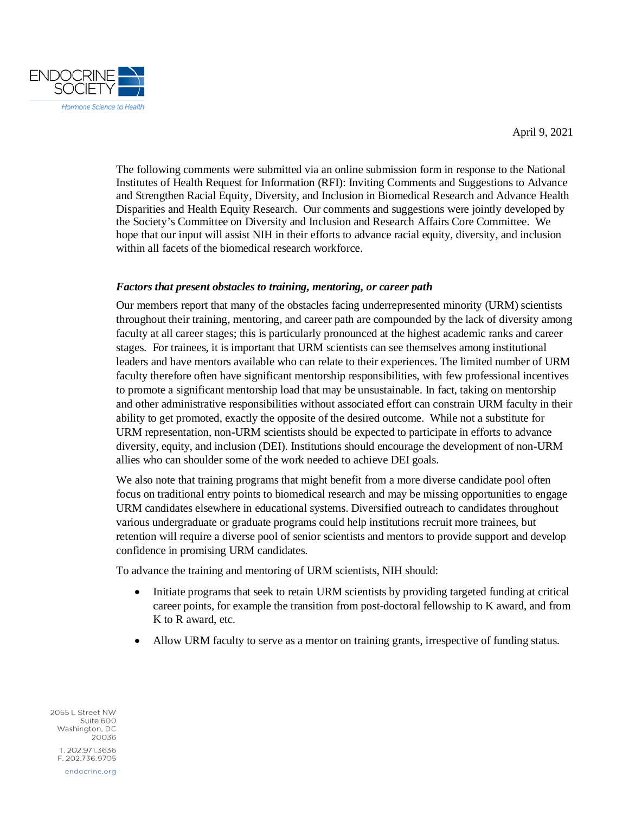April 9, 2021



The following comments were submitted via an online submission form in response to the National Institutes of Health Request for Information (RFI): Inviting Comments and Suggestions to Advance and Strengthen Racial Equity, Diversity, and Inclusion in Biomedical Research and Advance Health Disparities and Health Equity Research. Our comments and suggestions were jointly developed by the Society's Committee on Diversity and Inclusion and Research Affairs Core Committee. We hope that our input will assist NIH in their efforts to advance racial equity, diversity, and inclusion within all facets of the biomedical research workforce.

## *Factors that present obstacles to training, mentoring, or career path*

Our members report that many of the obstacles facing underrepresented minority (URM) scientists throughout their training, mentoring, and career path are compounded by the lack of diversity among faculty at all career stages; this is particularly pronounced at the highest academic ranks and career stages. For trainees, it is important that URM scientists can see themselves among institutional leaders and have mentors available who can relate to their experiences. The limited number of URM faculty therefore often have significant mentorship responsibilities, with few professional incentives to promote a significant mentorship load that may be unsustainable. In fact, taking on mentorship and other administrative responsibilities without associated effort can constrain URM faculty in their ability to get promoted, exactly the opposite of the desired outcome. While not a substitute for URM representation, non-URM scientists should be expected to participate in efforts to advance diversity, equity, and inclusion (DEI). Institutions should encourage the development of non-URM allies who can shoulder some of the work needed to achieve DEI goals.

We also note that training programs that might benefit from a more diverse candidate pool often focus on traditional entry points to biomedical research and may be missing opportunities to engage URM candidates elsewhere in educational systems. Diversified outreach to candidates throughout various undergraduate or graduate programs could help institutions recruit more trainees, but retention will require a diverse pool of senior scientists and mentors to provide support and develop confidence in promising URM candidates.

To advance the training and mentoring of URM scientists, NIH should:

- Initiate programs that seek to retain URM scientists by providing targeted funding at critical career points, for example the transition from post-doctoral fellowship to K award, and from K to R award, etc.
- Allow URM faculty to serve as a mentor on training grants, irrespective of funding status.

2055 L Street NW Suite 600 Washington, DC 20036 T. 202.971.3636 F. 202.736.9705 endocrine.org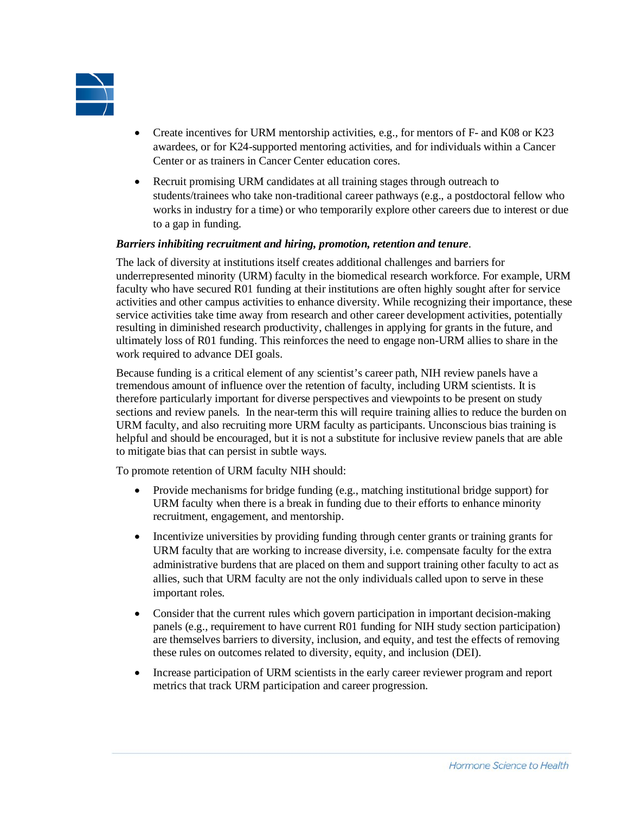

- Create incentives for URM mentorship activities, e.g., for mentors of F- and K08 or K23 awardees, or for K24-supported mentoring activities, and for individuals within a Cancer Center or as trainers in Cancer Center education cores.
- Recruit promising URM candidates at all training stages through outreach to students/trainees who take non-traditional career pathways (e.g., a postdoctoral fellow who works in industry for a time) or who temporarily explore other careers due to interest or due to a gap in funding.

## *Barriers inhibiting recruitment and hiring, promotion, retention and tenure*.

The lack of diversity at institutions itself creates additional challenges and barriers for underrepresented minority (URM) faculty in the biomedical research workforce. For example, URM faculty who have secured R01 funding at their institutions are often highly sought after for service activities and other campus activities to enhance diversity. While recognizing their importance, these service activities take time away from research and other career development activities, potentially resulting in diminished research productivity, challenges in applying for grants in the future, and ultimately loss of R01 funding. This reinforces the need to engage non-URM allies to share in the work required to advance DEI goals.

Because funding is a critical element of any scientist's career path, NIH review panels have a tremendous amount of influence over the retention of faculty, including URM scientists. It is therefore particularly important for diverse perspectives and viewpoints to be present on study sections and review panels. In the near-term this will require training allies to reduce the burden on URM faculty, and also recruiting more URM faculty as participants. Unconscious bias training is helpful and should be encouraged, but it is not a substitute for inclusive review panels that are able to mitigate bias that can persist in subtle ways.

To promote retention of URM faculty NIH should:

- Provide mechanisms for bridge funding (e.g., matching institutional bridge support) for URM faculty when there is a break in funding due to their efforts to enhance minority recruitment, engagement, and mentorship.
- Incentivize universities by providing funding through center grants or training grants for URM faculty that are working to increase diversity, i.e. compensate faculty for the extra administrative burdens that are placed on them and support training other faculty to act as allies, such that URM faculty are not the only individuals called upon to serve in these important roles.
- Consider that the current rules which govern participation in important decision-making panels (e.g., requirement to have current R01 funding for NIH study section participation) are themselves barriers to diversity, inclusion, and equity, and test the effects of removing these rules on outcomes related to diversity, equity, and inclusion (DEI).
- Increase participation of URM scientists in the early career reviewer program and report metrics that track URM participation and career progression.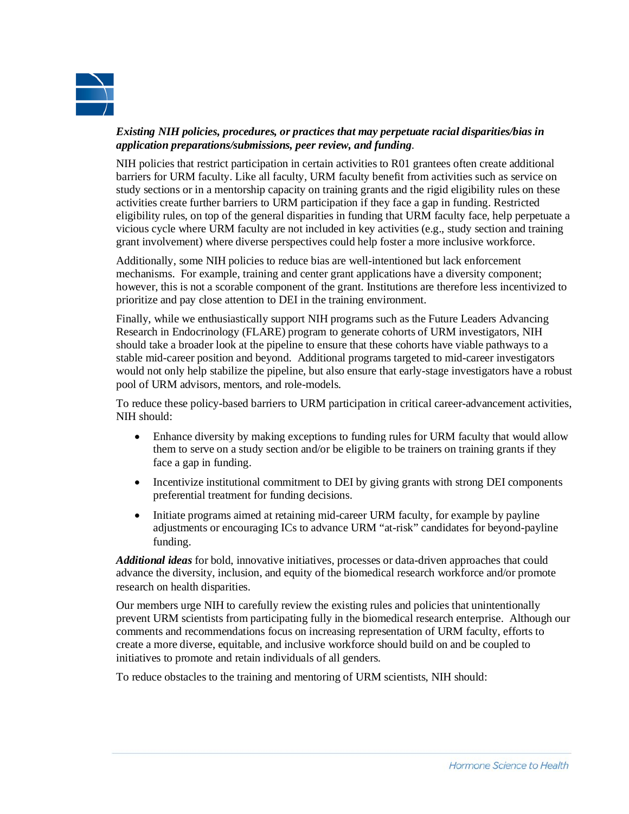

## *Existing NIH policies, procedures, or practices that may perpetuate racial disparities/bias in application preparations/submissions, peer review, and funding*.

NIH policies that restrict participation in certain activities to R01 grantees often create additional barriers for URM faculty. Like all faculty, URM faculty benefit from activities such as service on study sections or in a mentorship capacity on training grants and the rigid eligibility rules on these activities create further barriers to URM participation if they face a gap in funding. Restricted eligibility rules, on top of the general disparities in funding that URM faculty face, help perpetuate a vicious cycle where URM faculty are not included in key activities (e.g., study section and training grant involvement) where diverse perspectives could help foster a more inclusive workforce.

Additionally, some NIH policies to reduce bias are well-intentioned but lack enforcement mechanisms. For example, training and center grant applications have a diversity component; however, this is not a scorable component of the grant. Institutions are therefore less incentivized to prioritize and pay close attention to DEI in the training environment.

Finally, while we enthusiastically support NIH programs such as the Future Leaders Advancing Research in Endocrinology (FLARE) program to generate cohorts of URM investigators, NIH should take a broader look at the pipeline to ensure that these cohorts have viable pathways to a stable mid-career position and beyond. Additional programs targeted to mid-career investigators would not only help stabilize the pipeline, but also ensure that early-stage investigators have a robust pool of URM advisors, mentors, and role-models.

To reduce these policy-based barriers to URM participation in critical career-advancement activities, NIH should:

- Enhance diversity by making exceptions to funding rules for URM faculty that would allow them to serve on a study section and/or be eligible to be trainers on training grants if they face a gap in funding.
- Incentivize institutional commitment to DEI by giving grants with strong DEI components preferential treatment for funding decisions.
- Initiate programs aimed at retaining mid-career URM faculty, for example by payline adjustments or encouraging ICs to advance URM "at-risk" candidates for beyond-payline funding.

*Additional ideas* for bold, innovative initiatives, processes or data-driven approaches that could advance the diversity, inclusion, and equity of the biomedical research workforce and/or promote research on health disparities.

Our members urge NIH to carefully review the existing rules and policies that unintentionally prevent URM scientists from participating fully in the biomedical research enterprise. Although our comments and recommendations focus on increasing representation of URM faculty, efforts to create a more diverse, equitable, and inclusive workforce should build on and be coupled to initiatives to promote and retain individuals of all genders.

To reduce obstacles to the training and mentoring of URM scientists, NIH should: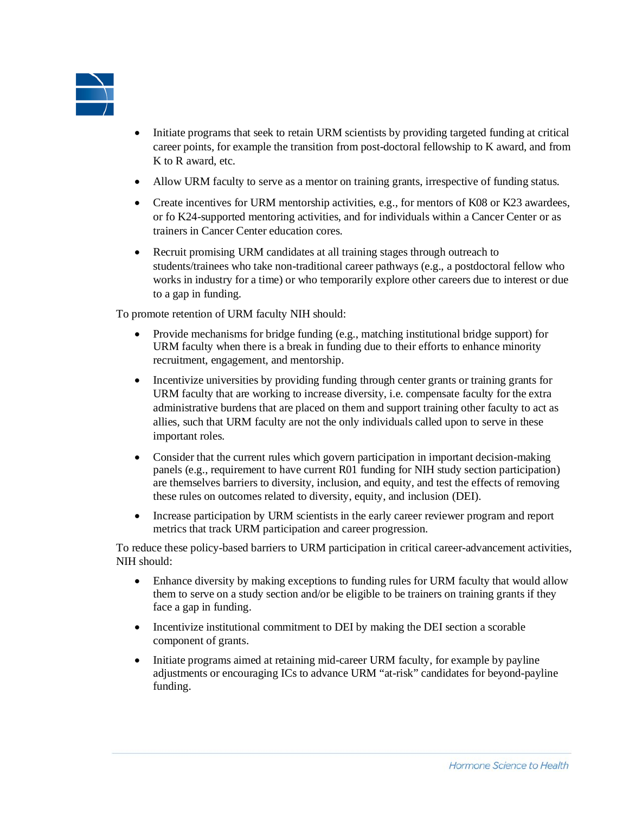

- Initiate programs that seek to retain URM scientists by providing targeted funding at critical career points, for example the transition from post-doctoral fellowship to K award, and from K to R award, etc.
- Allow URM faculty to serve as a mentor on training grants, irrespective of funding status.
- Create incentives for URM mentorship activities, e.g., for mentors of K08 or K23 awardees, or fo K24-supported mentoring activities, and for individuals within a Cancer Center or as trainers in Cancer Center education cores.
- Recruit promising URM candidates at all training stages through outreach to students/trainees who take non-traditional career pathways (e.g., a postdoctoral fellow who works in industry for a time) or who temporarily explore other careers due to interest or due to a gap in funding.

To promote retention of URM faculty NIH should:

- Provide mechanisms for bridge funding (e.g., matching institutional bridge support) for URM faculty when there is a break in funding due to their efforts to enhance minority recruitment, engagement, and mentorship.
- Incentivize universities by providing funding through center grants or training grants for URM faculty that are working to increase diversity, i.e. compensate faculty for the extra administrative burdens that are placed on them and support training other faculty to act as allies, such that URM faculty are not the only individuals called upon to serve in these important roles.
- Consider that the current rules which govern participation in important decision-making panels (e.g., requirement to have current R01 funding for NIH study section participation) are themselves barriers to diversity, inclusion, and equity, and test the effects of removing these rules on outcomes related to diversity, equity, and inclusion (DEI).
- Increase participation by URM scientists in the early career reviewer program and report metrics that track URM participation and career progression.

To reduce these policy-based barriers to URM participation in critical career-advancement activities, NIH should:

- Enhance diversity by making exceptions to funding rules for URM faculty that would allow them to serve on a study section and/or be eligible to be trainers on training grants if they face a gap in funding.
- Incentivize institutional commitment to DEI by making the DEI section a scorable component of grants.
- Initiate programs aimed at retaining mid-career URM faculty, for example by payline adjustments or encouraging ICs to advance URM "at-risk" candidates for beyond-payline funding.